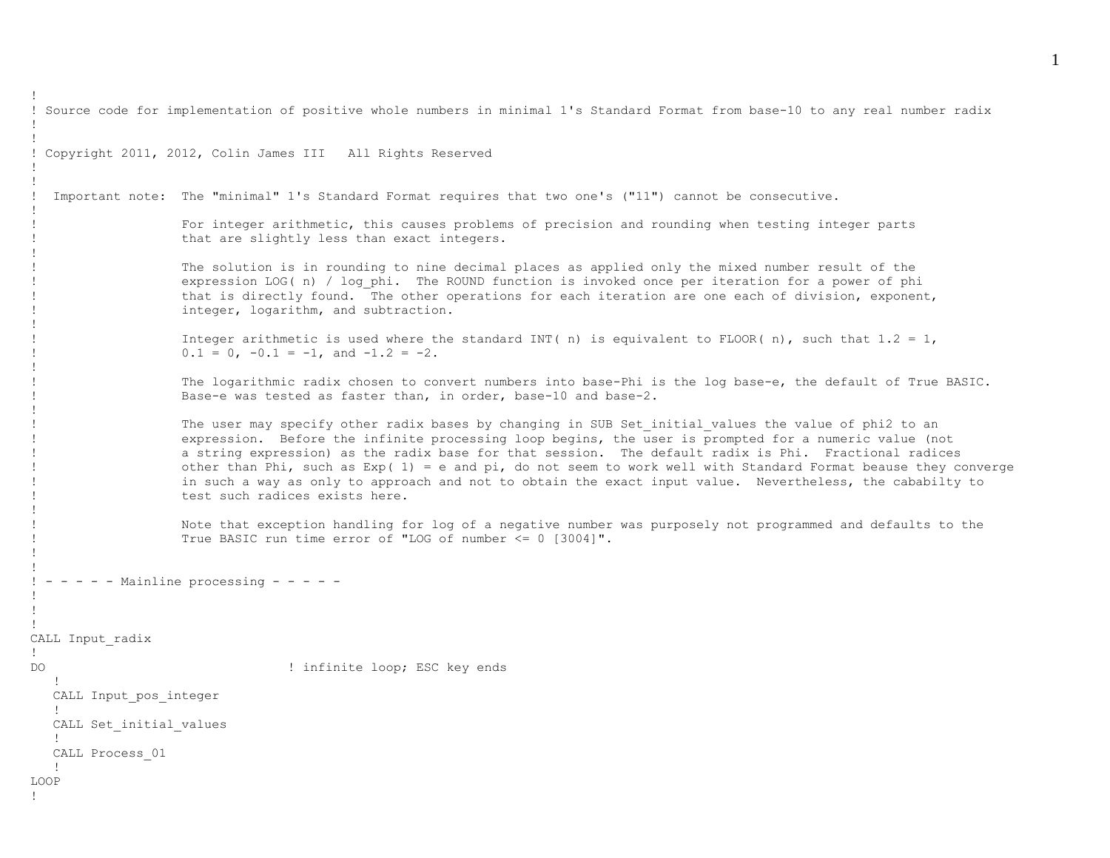```
! Source code for implementation of positive whole numbers in minimal 1's Standard Format from base-10 to any real number radix
!
!
! Copyright 2011, 2012, Colin James III All Rights Reserved
!
!
! Important note: The "minimal" 1's Standard Format requires that two one's ("11") cannot be consecutive. 
!
                   ! For integer arithmetic, this causes problems of precision and rounding when testing integer parts 
                    that are slightly less than exact integers.
! 
                   The solution is in rounding to nine decimal places as applied only the mixed number result of the
                    expression LOG( n) / log phi. The ROUND function is invoked once per iteration for a power of phi
                    that is directly found. The other operations for each iteration are one each of division, exponent,
                    integer, logarithm, and subtraction.
!
                   Integer arithmetic is used where the standard INT( n) is equivalent to FLOOR( n), such that 1.2 = 1,
                   0.1 = 0, -0.1 = -1, and -1.2 = -2.
!
                   ! The logarithmic radix chosen to convert numbers into base-Phi is the log base-e, the default of True BASIC. 
                   Base-e was tested as faster than, in order, base-10 and base-2.
!
                   The user may specify other radix bases by changing in SUB Set initial values the value of phi2 to an
                   expression. Before the infinite processing loop begins, the user is prompted for a numeric value (not
                    a string expression) as the radix base for that session. The default radix is Phi. Fractional radices
                   other than Phi, such as Exp( 1) = e and pi, do not seem to work well with Standard Format beause they converge
                    in such a way as only to approach and not to obtain the exact input value. Nevertheless, the cababilty to
                    test such radices exists here.
!
                   Note that exception handling for log of a negative number was purposely not programmed and defaults to the
                   ! True BASIC run time error of "LOG of number <= 0 [3004]". 
!
!
! - - - - Mainline processing - - - -
!
!
!
CALL Input_radix
!
DO ! infinite loop; ESC key ends
 !
   CALL Input_pos_integer
 !
  CALL Set initial values
   !
   CALL Process_01
   !
LOOP
!
```
!

1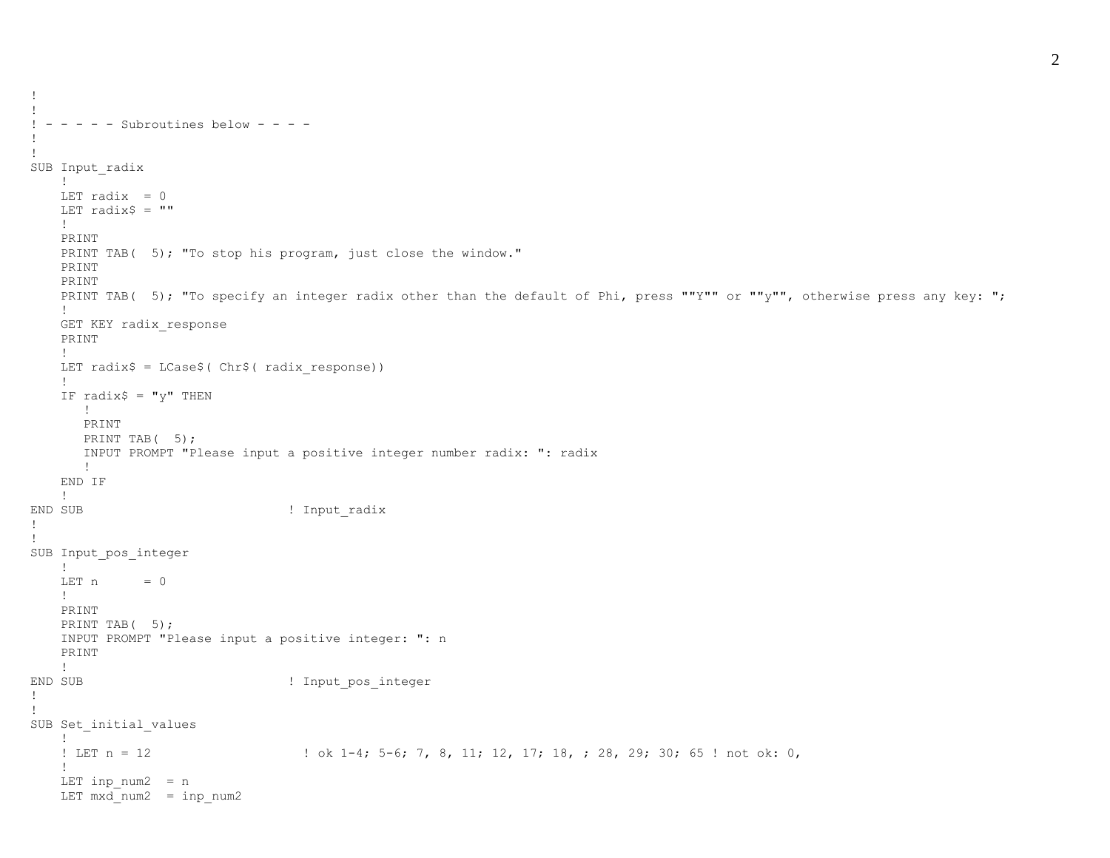```
!
 - - - - - Subroutines below - - - -
!
!
SUB Input radix
    !
   LET radix = 0LET radix$ = " !
    PRINT
   PRINT TAB( 5); "To stop his program, just close the window."
    PRINT
    PRINT
   PRINT TAB( 5); "To specify an integer radix other than the default of Phi, press ""Y"" or ""y"", otherwise press any key: ";
    !
    GET KEY radix_response
    PRINT
    !
   LET radix$ = LCase$( Chr$( radix response))
    !
   IF radix\hat{S} = "y" THEN
       !
       PRINT
      PRINT TAB(5);
       INPUT PROMPT "Please input a positive integer number radix: ": radix
       !
    END IF
    !
END SUB \qquad \qquad ! Input radix
!
!
SUB Input_pos_integer
    !
   LET n = 0 !
    PRINT
   PRINT TAB(5);
    INPUT PROMPT "Please input a positive integer: ": n
    PRINT
    !
END SUB \qquad \qquad ! Input pos integer
!
!
SUB Set initial values
    !
   ! LET n = 12 \vert b ( \vert -4; 5-6; 7, 8, 11; 12, 17; 18, ; 28, 29; 30; 65 ! not ok: 0,
    !
   LET inp num2 = nLET mxd num2 = inp num2
```
!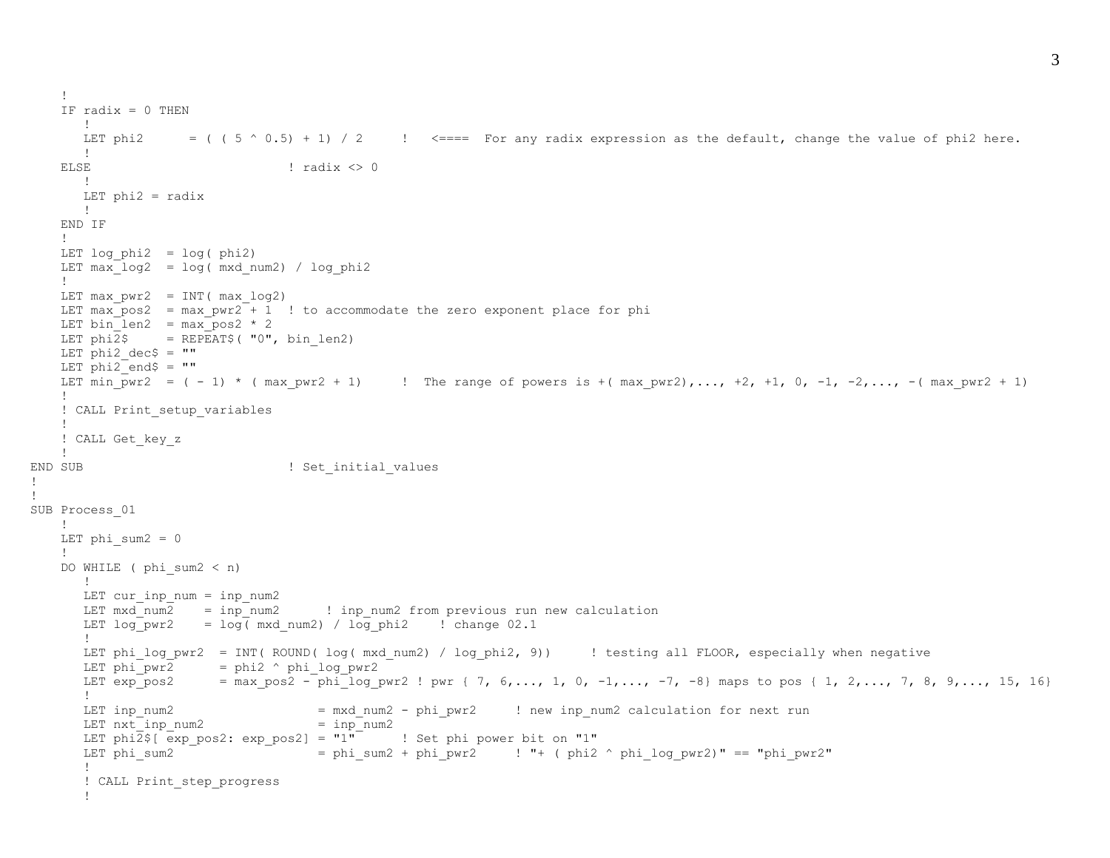```
 !
   IF \text{radix} = 0 \text{ THEN}11
      LET phi2 = ( ( 5 \land 0.5) + 1) / 2 ! <=== For any radix expression as the default, change the value of phi2 here.
      11
   \begin{array}{ccc} \text{ELSE} & \text{if } \text{radix} \leq 0 \\ \end{array} !
      LET phi2 = radix !
    END IF
    !
   LET log phi2 = log(phi2)LET max log2 = log(mxdnum2) / logphi !
   LET max pwr2 = INT(max \log2)LET max pos2 = max pwr2 + 1 ! to accommodate the zero exponent place for phi
   LET bin len2 = max pos2 * 2
   LET phi\overline{2}$ = REPEAT$( "0", bin len2)
   LET phi2 dec = ""
   LET phi2 end$ = " "LET min pwr2 = (-1) * (max pwr2 + 1) ! The range of powers is +(max pwr2),..., +2, +1, 0, -1, -2,..., -(max pwr2 + 1)
    !
   ! CALL Print setup variables
    !
    ! CALL Get_key_z
    !
END SUB ! Set_initial_values
SUB Process_01
    !
   LET phi sum2 = 0 !
   DO WHILE ( phi sum2 < n)
       !
      LET cur inp num = inp num2LET \text{mxd} num2 = inp_num2 \text{ } ! inp_num2 from previous run new calculation
      LET log pwr2 = log(mxd num2) / log phi2 ! change 02.1
1000 - 1000 - 11
      LET phi_log_pwr2 = INT( ROUND( log( mxd_num2) / log_phi2, 9)) | testing all FLOOR, especially when negative
      LET phi pwr2 = phi2 \land phi log pwr2LET exp_pos2 = max_pos2 - phi_log_pwr2 ! pwr { 7, 6,..., 1, 0, -1, \ldots, -7, -8} maps to pos { 1, 2,..., 7, 8, 9,..., 15, 16}
       !
      LET inp_num2 = mxd_num2 - phi_pwr2 ! new inp_num2 calculation for next run
      LET nxt inp num2 = inp num2LET phi2$[ exp pos2: exp pos2] = "1" ! Set phi power bit on "1"
      LET phi sum2 = phi_sum2 + phi_pwr2 ! ! "+ ( phi2 ^ phi_log_pwr2)" == "phi_pwr2"
       !
       ! CALL Print_step_progress
       !
```
! !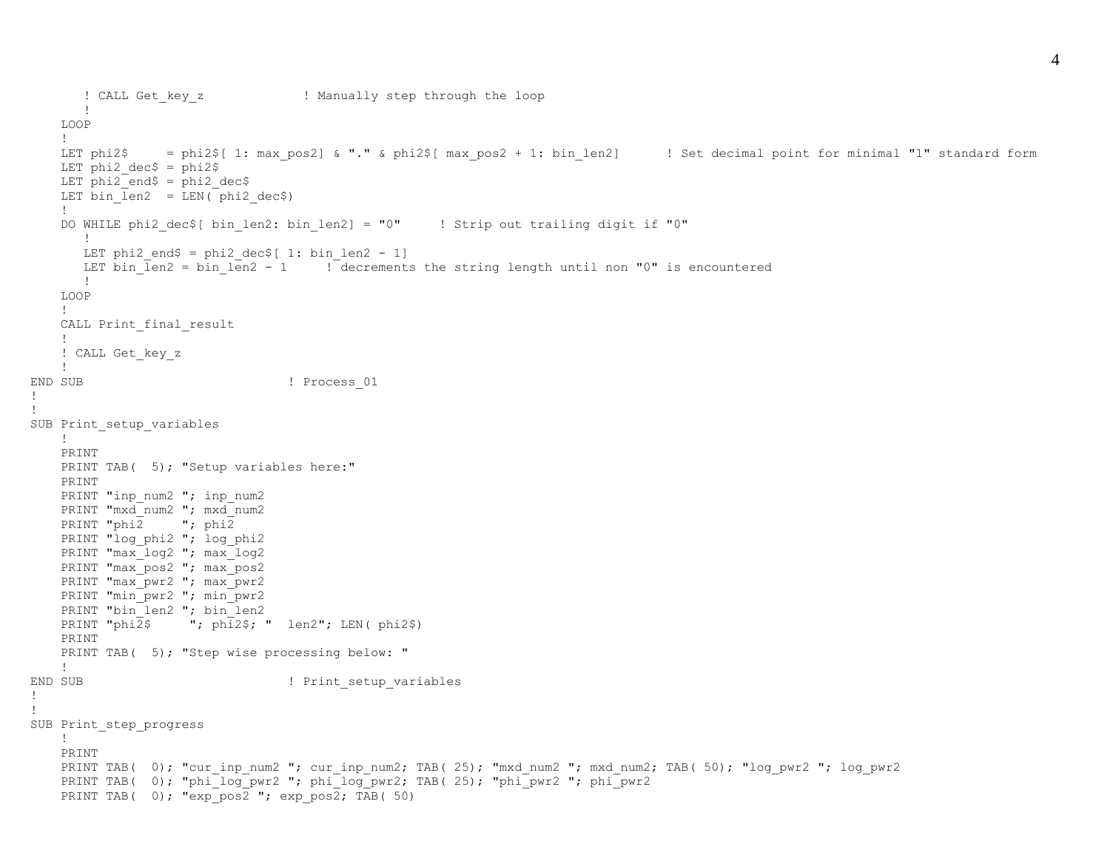```
 ! CALL Get_key_z ! Manually step through the loop
       !
    LOOP
    !
   LET phi2$ = phi2$[ 1: max pos2] & "." & phi2$[ max pos2 + 1: bin len2] ! Set decimal point for minimal "1" standard form
   LET phi2 dec$ = phi2$
   LET phi2 end$ = phi2 dec$
   LET bin len2 = LEN( phi2 dec$)
    !
   DO WHILE phi2 dec$[ bin len2: bin len2] = "0" ! Strip out trailing digit if "0"
      !
      LET phi2 end$ = phi2 dec$[ 1: bin len2 - 1]
     LET bin len2 = bin len2 - 1 \phantom{1} ! decrements the string length until non "0" is encountered
       !
    LOOP
    !
   CALL Print final result
    !
    ! CALL Get_key_z
    !
END SUB \qquad \qquad Process 01
!
!
SUB Print setup variables
    !
    PRINT
   PRINT TAB( 5); "Setup variables here:"
    PRINT
   PRINT "inp_num2 "; inp_num2
   PRINT "mxd_num2 "; mxd_num2
   PRINT "phi2 "; phi2
   PRINT "log phi2 "; log phi2
   PRINT "max log2 "; max log2
   PRINT "max pos2 "; max pos2
   PRINT "max_pwr2 "; max_pwr2
   PRINT "min_pwr2 "; min_pwr2
   PRINT "bin_len2 "; bin_len2
   PRINT "phi\overline{2}$ "; phi2$; " len2"; LEN( phi2$)
    PRINT
   PRINT TAB( 5); "Step wise processing below: "
    !
END SUB | Print setup variables
!
SUB Print_step_progress
    !
    PRINT
   PRINT TAB( 0); "cur_inp_num2 "; cur_inp_num2; TAB( 25); "mxd_num2 "; mxd_num2; TAB( 50); "log_pwr2 "; log_pwr2
    PRINT TAB( 0); "phi_log_pwr2 "; phi_log_pwr2; TAB( 25); "phi_pwr2 "; phi_pwr2
   PRINT TAB( 0); "exp pos2 "; exp pos2; TAB( 50)
```
!